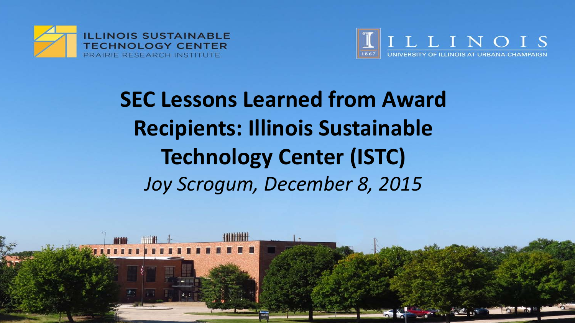



**SEC Lessons Learned from Award** JIEIILS: IIIIIIUIS JUSLAIII **Recipients: Illinois Sustainable Technology Center (ISTC)** *Joy Scrogum, December 8, 2015*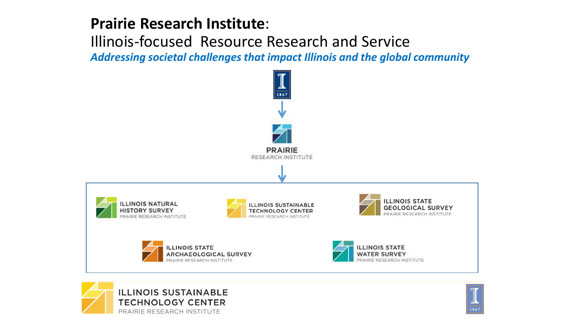### **Prairie Research Institute**:

Illinois-focused Resource Research and Service *Addressing societal challenges that impact Illinois and the global community*





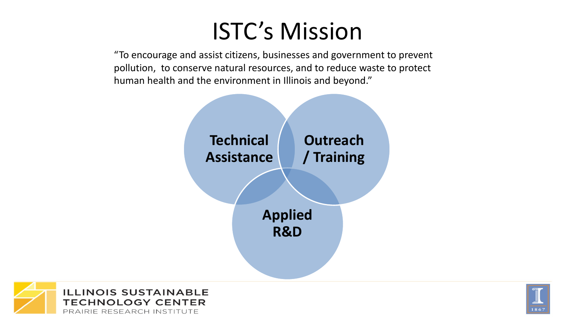# ISTC's Mission

"To encourage and assist citizens, businesses and government to prevent pollution, to conserve natural resources, and to reduce waste to protect human health and the environment in Illinois and beyond."





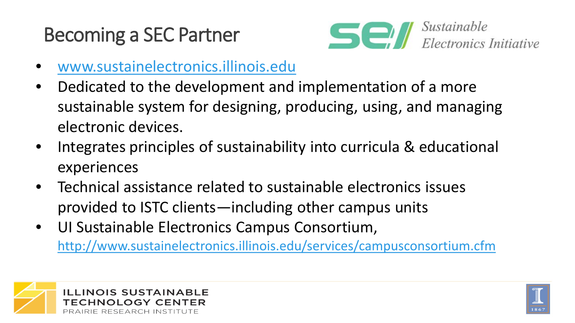# Becoming a SEC Partner



- [www.sustainelectronics.illinois.edu](http://www.sustainelectronics.illinois.edu/)
- Dedicated to the development and implementation of a more sustainable system for designing, producing, using, and managing electronic devices.
- Integrates principles of sustainability into curricula & educational experiences
- Technical assistance related to sustainable electronics issues provided to ISTC clients—including other campus units
- UI Sustainable Electronics Campus Consortium, <http://www.sustainelectronics.illinois.edu/services/campusconsortium.cfm>



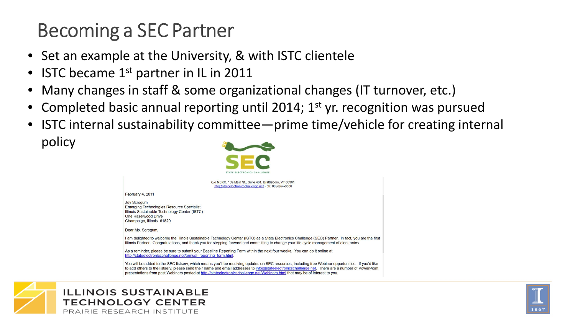# Becoming a SEC Partner

- Set an example at the University, & with ISTC clientele
- **ISTC became**  $1<sup>st</sup>$  **partner in IL in 2011**
- Many changes in staff & some organizational changes (IT turnover, etc.)
- Completed basic annual reporting until 2014; 1<sup>st</sup> yr. recognition was pursued
- ISTC internal sustainability committee—prime time/vehicle for creating internal policy





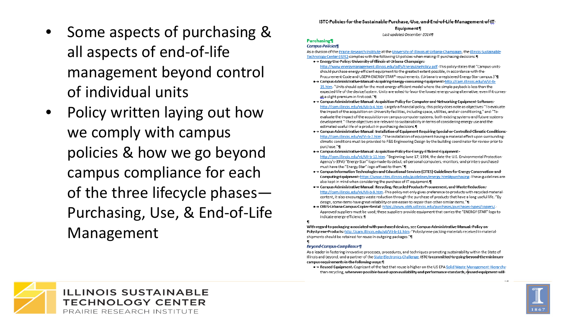- Some aspects of purchasing & all aspects of end-of-life management beyond control of individual units
- Policy written laying out how we comply with campus policies & how we go beyond campus compliance for each of the three lifecycle phases— Purchasing, Use, & End-of-Life Management

#### ISTC-Policies-for-the-Sustainable-Purchase, Use, and End-of-Life-Management-of-IT-

Equipment¶

Last-updated-December-2014¶

#### Purchasing¶

#### **Campus-Policies¶**

As a division of the Prairie Research Institute at the University of Illinois at Urbana Champaign, the Illinois Sustainable Technology-Center-(ISTC)-complies-with-the-following-UI-policies-when-making-IT-purchasing-decisions:¶ . Energy Use Policy: University of Illinois at Urbana-Champaign:

- http://www.energymanagement.illinois.edu/pdfs/EnergyUsePolicy.pdf.-This-policy-states-that-"Campus-unitsshould-purchase-energy-efficient-equipment-to-the-greatest-extent-possible,-in-accordance-with-the-Procurement-Code-and-USEPA-ENERGY-STAR®-requirements.-(Urbana-is-a-registered-Energy-Star-campus.)"¶
- → Campus Administrative Manual: Acquiring Energy-consuming Equipment: http://cam.illinois.edu/vi/VI-b-15.htm. "Units should opt for the most energy-efficient model where the simple payback is less than the expected-life-of-the-device/system. Units-are-asked-to-favor-the-lowest-energy-using-alternative, even-if-it-comesat a slight premium in first cost."
- •- Campus Administrative Manual: Acquisition Policy for Computer and Networking Equipment Software: http://cam.illinois.edu/vii/VII-b-4.htm.-Largely-a-financial-policy.-this-policy-does-note-as-objectives-"To-evaluatethe impact of the acquisition on University facilities, including space, utilities, and air conditioning," and "To evaluate-the-impact-of-the-acquisition-on-campus-computer-systems,-both-existing-systems-and-future-systemsdevelopment."-These-objectives-are-relevant-to-sustainability-in-terms-of-considering-energy-use-and-theestimated-useful-life-of-a-product-in-purchasing-decisions.¶
- •- Campus Administrative Manual: Installation of Equipment Requiring Special or Controlled Climatic Conditions: http://cam.illinois.edu/vi/VI-b-7.htm. "The installation of equipment having a material effect upon surrounding climatic conditions must be provided to F&S Engineering Design by the building coordinator for review prior to purchase."¶
- + Campus Administrative Manual: Acquisition Policy for Energy Efficient Equipment: http://cam.illinois.edu/vii/VII-b-13.htm. "Beginning-June-17,-1994, the-date-the-U.S.-Environmental-Protection-Agency's-(EPA)-"Energy-Star"-logo-made-its-debut,-all-personal-computers,-monitors,-and-printers-purchasedmust-have-the-"Energy-Star"-logo-affixed-to-them."¶
- ·→ Campus-Information·Technologies·and·Educational·Services·(CITES)·Guidelines·for·Energy·Conservation·and· Computing Equipment: https://www.cites.illinois.edu/guidelines/energy.html#purchasing. These guidelines are also-kept-in-mind-when-considering-the-purchase-of-IT-equipment.
- •- Campus Administrative Manual: Recycling, Recycled Products Procurement, and Waste Reduction: http://cam.illinois.edu/vii/VII-b-9.htm.·This-policy-not-only-gives-preference-to-products-with-recycled-materialcontent, it also encourages waste reduction through the purchase of products that have a long useful life. "By design, some items have great reliability or are easier to repair than other similar items." I
- OBFS-Urbana-Campus-Copier-Rental: https://www.obfs.uillinois.edu/purchases/purchases-types/copiers/. Approved suppliers must be used; these suppliers provide equipment that carries the "ENERGY STAR" logo to indicate-energy-efficiency.¶

With regard to packaging associated with purchased devices, see Campus Administrative Manual: Policy on Polystyrene Products: http://cam.illinois.edu/vii/VII-b-11.htm. "Polystyrene packing materials received in material shipments-should-be-retained-for-reuse-in-outgoing-packages."¶ я

#### **Beyond**-Campus-Compliance¶

As a leader in fostering innovative processes, procedures, and techniques promoting sustainability within the State of Illinois and beyond, and a partner of the State Electronics Challenge, ISTC is committed to going beyond the minimum campus-requirements-in-the-following-ways: 1

· + Reused·Equipment. Cognizant of the fact that reuse is higher on the US EPA Solid Waste Management Hierarchy than-recycling, whenever possible based upon availability and performance standards, reused equipment will



1867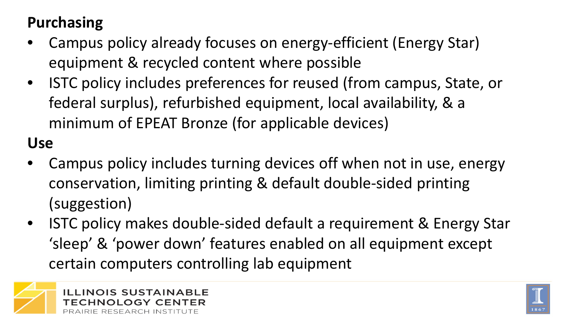## **Purchasing**

- Campus policy already focuses on energy-efficient (Energy Star) equipment & recycled content where possible
- ISTC policy includes preferences for reused (from campus, State, or federal surplus), refurbished equipment, local availability, & a minimum of EPEAT Bronze (for applicable devices)

**Use**

- Campus policy includes turning devices off when not in use, energy conservation, limiting printing & default double-sided printing (suggestion)
- ISTC policy makes double-sided default a requirement & Energy Star 'sleep' & 'power down' features enabled on all equipment except certain computers controlling lab equipment



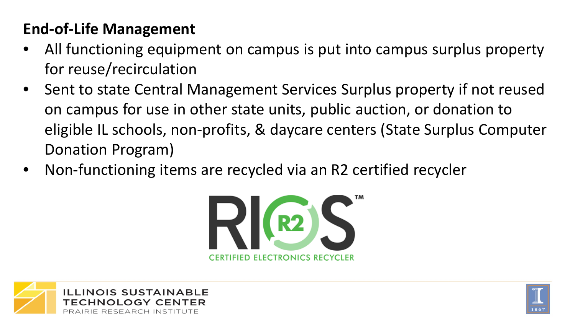## **End-of-Life Management**

- All functioning equipment on campus is put into campus surplus property for reuse/recirculation
- Sent to state Central Management Services Surplus property if not reused on campus for use in other state units, public auction, or donation to eligible IL schools, non-profits, & daycare centers (State Surplus Computer Donation Program)
- Non-functioning items are recycled via an R2 certified recycler





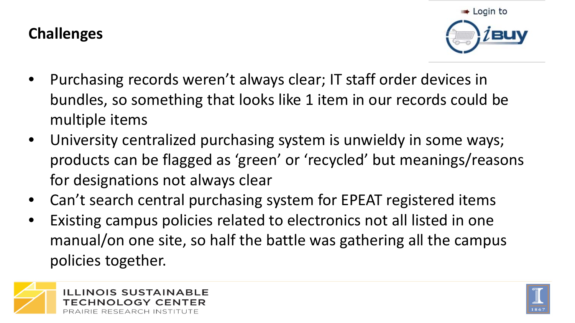### **Challenges**



- Purchasing records weren't always clear; IT staff order devices in bundles, so something that looks like 1 item in our records could be multiple items
- University centralized purchasing system is unwieldy in some ways; products can be flagged as 'green' or 'recycled' but meanings/reasons for designations not always clear
- Can't search central purchasing system for EPEAT registered items
- Existing campus policies related to electronics not all listed in one manual/on one site, so half the battle was gathering all the campus policies together.



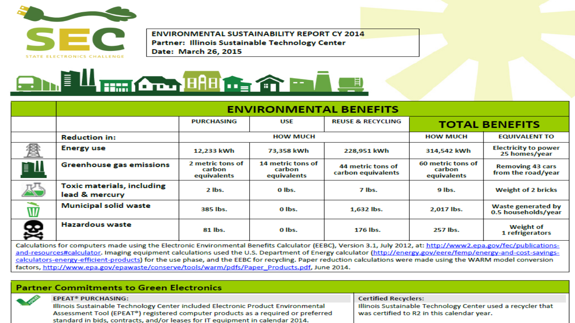

**ENVIRONMENTAL SUSTAINABILITY REPORT CY 2014** Partner: Illinois Sustainable Technology Center Date: March 26, 2015



|                         | <b>ENVIRONMENTAL BENEFITS</b>                       |                                           |                                            |                                         |                                            |                                                  |  |  |  |  |  |
|-------------------------|-----------------------------------------------------|-------------------------------------------|--------------------------------------------|-----------------------------------------|--------------------------------------------|--------------------------------------------------|--|--|--|--|--|
|                         |                                                     | <b>PURCHASING</b>                         | USE                                        | <b>REUSE &amp; RECYCLING</b>            | <b>TOTAL BENEFITS</b>                      |                                                  |  |  |  |  |  |
|                         | <b>Reduction in:</b>                                |                                           | <b>HOW MUCH</b>                            | <b>HOW MUCH</b>                         | <b>EQUIVALENT TO</b>                       |                                                  |  |  |  |  |  |
| 貧                       | <b>Energy use</b>                                   | 12,233 kWh                                | 73,358 kWh                                 | 228,951 kWh                             | 314,542 kWh                                | <b>Electricity to power</b><br>25 homes/year     |  |  |  |  |  |
| ÈΠ                      | <b>Greenhouse gas emissions</b>                     | 2 metric tons of<br>carbon<br>equivalents | 14 metric tons of<br>carbon<br>equivalents | 44 metric tons of<br>carbon equivalents | 60 metric tons of<br>carbon<br>equivalents | <b>Removing 43 cars</b><br>from the road/year    |  |  |  |  |  |
| 恐                       | <b>Toxic materials, including</b><br>lead & mercury | $2$ lbs.                                  | 0 lbs.                                     | 7 lbs.                                  | 9 lbs.                                     | <b>Weight of 2 bricks</b>                        |  |  |  |  |  |
| $\overline{\mathsf{W}}$ | <b>Municipal solid waste</b>                        | 385 lbs.                                  | O lbs.                                     | 1,632 lbs.                              | 2,017 lbs.                                 | <b>Waste generated by</b><br>0.5 households/year |  |  |  |  |  |
| 奧                       | Hazardous waste                                     | 81 lbs.                                   | 0 lbs.                                     | 176 lbs.                                | 257 lbs.                                   | <b>Weight of</b><br>1 refrigerators              |  |  |  |  |  |

Calculations for computers made using the Electronic Environmental Benefits Calculator (EEBC), Version 3.1, July 2012, at: http://www2.epa.gov/fec/publicationsand-resources#calculator. Imaging equipment calculations used the U.S. Department of Energy calculator (http://energy.gov/eere/femp/energy-and-cost-savingscalculators-energy-efficient-products) for the use phase, and the EEBC for recycling. Paper reduction calculations were made using the WARM model conversion factors, http://www.epa.gov/epawaste/conserve/tools/warm/pdfs/Paper\_Products.pdf, June 2014.

### **Partner Commitments to Green Electronics**



**EPEAT<sup>®</sup> PURCHASING:** 

Illinois Sustainable Technology Center included Electronic Product Environmental Assessment Tool (EPEAT<sup>®</sup>) registered computer products as a required or preferred standard in bids, contracts, and/or leases for IT equipment in calendar 2014.

**Certified Recyclers:** 

Illinois Sustainable Technology Center used a recycler that was certified to R2 in this calendar year.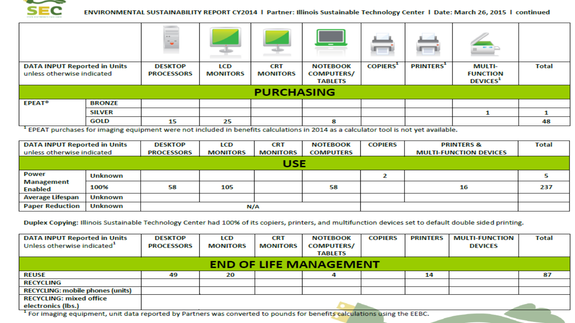

#### ENVIRONMENTAL SUSTAINABILITY REPORT CY2014 | Partner: Illinois Sustainable Technology Center | Date: March 26, 2015 | continued

|                                     |               | $\frac{1}{2}$     | <b>Contract</b><br>طالعه | .               | <b>Allen</b>      |                | m.              |                             |              |  |
|-------------------------------------|---------------|-------------------|--------------------------|-----------------|-------------------|----------------|-----------------|-----------------------------|--------------|--|
| <b>DATA INPUT Reported in Units</b> |               | <b>DESKTOP</b>    | LCD                      | <b>CRT</b>      | <b>NOTEBOOK</b>   | <b>COPIERS</b> | <b>PRINTERS</b> | <b>MULTI-</b>               | <b>Total</b> |  |
| unless otherwise indicated          |               | <b>PROCESSORS</b> | <b>MONITORS</b>          | <b>MONITORS</b> | <b>COMPUTERS/</b> |                |                 | <b>FUNCTION</b>             |              |  |
|                                     |               |                   |                          |                 | <b>TABLETS</b>    |                |                 | <b>DEVICES</b> <sup>1</sup> |              |  |
| <b>PURCHASING</b>                   |               |                   |                          |                 |                   |                |                 |                             |              |  |
| <b>EPEAT<sup>®</sup></b>            | <b>BRONZE</b> |                   |                          |                 |                   |                |                 |                             |              |  |
|                                     | <b>SILVER</b> |                   |                          |                 |                   |                |                 |                             |              |  |
|                                     | <b>GOLD</b>   | 15                | 25                       |                 | 8                 |                |                 |                             | 48           |  |

<sup>1</sup> EPEAT purchases for imaging equipment were not included in benefits calculations in 2014 as a calculator tool is not yet available.

| <b>DATA INPUT Reported in Units</b>   |         | <b>DESKTOP</b>    | LCD             | <b>CRT</b>      | <b>NOTEBOOK</b>  | <b>COPIERS</b> | <b>PRINTERS &amp;</b>         | <b>Total</b> |  |  |
|---------------------------------------|---------|-------------------|-----------------|-----------------|------------------|----------------|-------------------------------|--------------|--|--|
| unless otherwise indicated            |         | <b>PROCESSORS</b> | <b>MONITORS</b> | <b>MONITORS</b> | <b>COMPUTERS</b> |                | <b>MULTI-FUNCTION DEVICES</b> |              |  |  |
| USE                                   |         |                   |                 |                 |                  |                |                               |              |  |  |
| Power<br>Management<br><b>Enabled</b> | Unknown |                   |                 |                 |                  |                |                               |              |  |  |
|                                       | 100%    | 58                | 105             |                 | 58               |                | 16                            | 237          |  |  |
| <b>Average Lifespan</b>               | Unknown |                   |                 |                 |                  |                |                               |              |  |  |
| <b>Paper Reduction</b><br>Unknown     |         |                   | N/A             |                 |                  |                |                               |              |  |  |

Duplex Copying: Illinois Sustainable Technology Center had 100% of its copiers, printers, and multifunction devices set to default double sided printing.

| <b>DATA INPUT Reported in Units</b>     | <b>DESKTOP</b>    | LCD             | <b>CRT</b>      | <b>NOTEBOOK</b>   | <b>COPIERS</b> | <b>PRINTERS</b> | <b>MULTI-FUNCTION</b> | <b>Total</b> |  |  |
|-----------------------------------------|-------------------|-----------------|-----------------|-------------------|----------------|-----------------|-----------------------|--------------|--|--|
| Unless otherwise indicated <sup>1</sup> | <b>PROCESSORS</b> | <b>MONITORS</b> | <b>MONITORS</b> | <b>COMPUTERS/</b> |                |                 | <b>DEVICES</b>        |              |  |  |
|                                         |                   |                 |                 | <b>TABLETS</b>    |                |                 |                       |              |  |  |
| <b>END OF LIFE MANAGEMENT</b>           |                   |                 |                 |                   |                |                 |                       |              |  |  |
| <b>REUSE</b>                            | 49                | 20              |                 |                   |                | 14              |                       | 87           |  |  |
| <b>RECYCLING</b>                        |                   |                 |                 |                   |                |                 |                       |              |  |  |
| <b>RECYCLING: mobile phones (units)</b> |                   |                 |                 |                   |                |                 |                       |              |  |  |
| <b>RECYCLING: mixed office</b>          |                   |                 |                 |                   |                |                 |                       |              |  |  |
| electronics (lbs.)                      |                   |                 |                 |                   |                |                 |                       |              |  |  |

<sup>1</sup> For imaging equipment, unit data reported by Partners was converted to pounds for benefits calculations using the EEBC.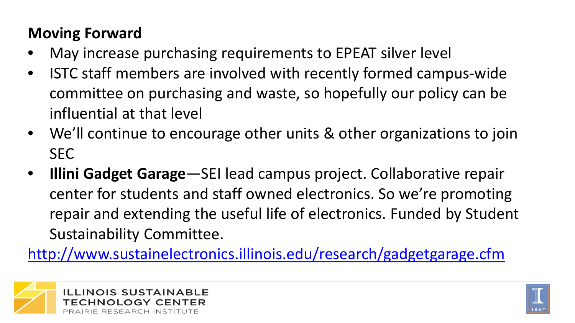### **Moving Forward**

- May increase purchasing requirements to EPEAT silver level
- ISTC staff members are involved with recently formed campus-wide committee on purchasing and waste, so hopefully our policy can be influential at that level
- We'll continue to encourage other units & other organizations to join SEC
- **Illini Gadget Garage**—SEI lead campus project. Collaborative repair center for students and staff owned electronics. So we're promoting repair and extending the useful life of electronics. Funded by Student Sustainability Committee.

<http://www.sustainelectronics.illinois.edu/research/gadgetgarage.cfm>